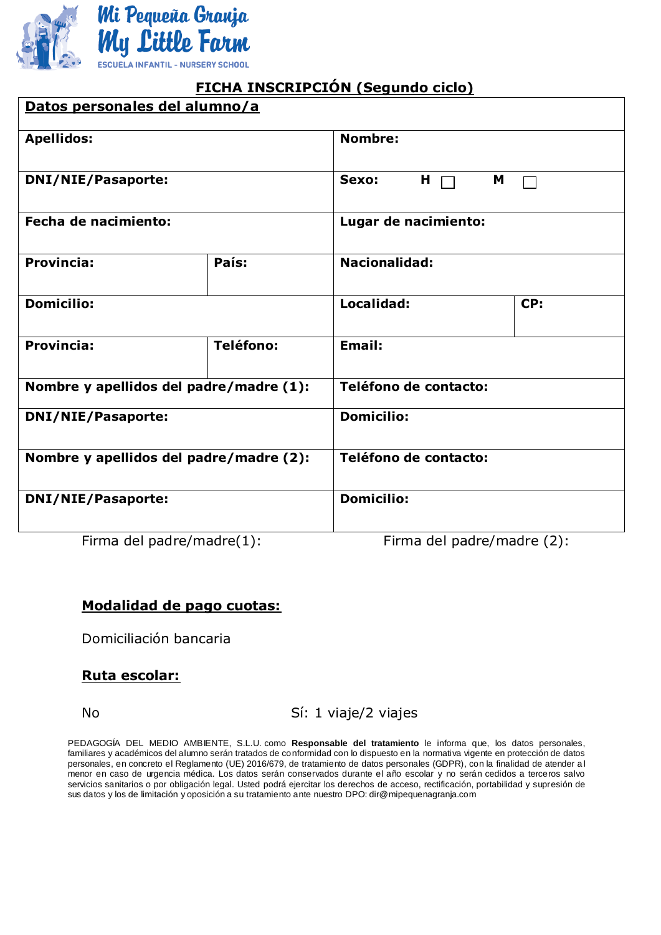

# **FICHA INSCRIPCIÓN (Segundo ciclo)**

| Datos personales del alumno/a           |           |                                   |     |  |  |
|-----------------------------------------|-----------|-----------------------------------|-----|--|--|
| <b>Apellidos:</b>                       |           | <b>Nombre:</b>                    |     |  |  |
| <b>DNI/NIE/Pasaporte:</b>               |           | Sexo:<br>$H \nightharpoonup$<br>M |     |  |  |
| <b>Fecha de nacimiento:</b>             |           | Lugar de nacimiento:              |     |  |  |
| <b>Provincia:</b>                       | País:     | <b>Nacionalidad:</b>              |     |  |  |
| <b>Domicilio:</b>                       |           | Localidad:                        | CP: |  |  |
| <b>Provincia:</b>                       | Teléfono: | <b>Email:</b>                     |     |  |  |
| Nombre y apellidos del padre/madre (1): |           | Teléfono de contacto:             |     |  |  |
| <b>DNI/NIE/Pasaporte:</b>               |           | <b>Domicilio:</b>                 |     |  |  |
| Nombre y apellidos del padre/madre (2): |           | Teléfono de contacto:             |     |  |  |
| <b>DNI/NIE/Pasaporte:</b>               |           | <b>Domicilio:</b>                 |     |  |  |

Firma del padre/madre(1): Firma del padre/madre (2):

### **Modalidad de pago cuotas:**

Domiciliación bancaria

### **Ruta escolar:**

No Sí: 1 viaje/2 viajes

PEDAGOGÍA DEL MEDIO AMBIENTE, S.L.U. como **Responsable del tratamiento** le informa que, los datos personales, familiares y académicos del alumno serán tratados de conformidad con lo dispuesto en la normativa vigente en protección de datos personales, en concreto el Reglamento (UE) 2016/679, de tratamiento de datos personales (GDPR), con la finalidad de atender a l menor en caso de urgencia médica. Los datos serán conservados durante el año escolar y no serán cedidos a terceros salvo servicios sanitarios o por obligación legal. Usted podrá ejercitar los derechos de acceso, rectificación, portabilidad y supresión de sus datos y los de limitación y oposición a su tratamiento ante nuestro DPO: dir@mipequenagranja.com